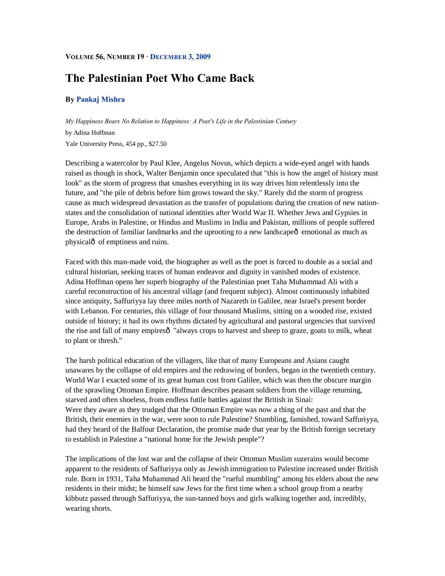#### **VOLUME 56, NUMBER 19 · DECEMBER 3, 2009**

# **The Palestinian Poet Who Came Back**

### **By Pankaj Mishra**

*My Happiness Bears No Relation to Happiness: A Poet's Life in the Palestinian Century* by Adina Hoffman Yale University Press, 454 pp., \$27.50

Describing a watercolor by Paul Klee, Angelus Novus, which depicts a wide-eyed angel with hands raised as though in shock, Walter Benjamin once speculated that "this is how the angel of history must look" as the storm of progress that smashes everything in its way drives him relentlessly into the future, and "the pile of debris before him grows toward the sky." Rarely did the storm of progress cause as much widespread devastation as the transfer of populations during the creation of new nationstates and the consolidation of national identities after World War II. Whether Jews and Gypsies in Europe, Arabs in Palestine, or Hindus and Muslims in India and Pakistan, millions of people suffered the destruction of familiar landmarks and the uprooting to a new landscape  $\hat{o}$  emotional as much as physicalô of emptiness and ruins.

Faced with this man-made void, the biographer as well as the poet is forced to double as a social and cultural historian, seeking traces of human endeavor and dignity in vanished modes of existence. Adina Hoffman opens her superb biography of the Palestinian poet Taha Muhammad Ali with a careful reconstruction of his ancestral village (and frequent subject). Almost continuously inhabited since antiquity, Saffuriyya lay three miles north of Nazareth in Galilee, near Israel's present border with Lebanon. For centuries, this village of four thousand Muslims, sitting on a wooded rise, existed outside of history; it had its own rhythms dictated by agricultural and pastoral urgencies that survived the rise and fall of many empires $\hat{o}$  "always crops to harvest and sheep to graze, goats to milk, wheat to plant or thresh."

The harsh political education of the villagers, like that of many Europeans and Asians caught unawares by the collapse of old empires and the redrawing of borders, began in the twentieth century. World War I exacted some of its great human cost from Galilee, which was then the obscure margin of the sprawling Ottoman Empire. Hoffman describes peasant soldiers from the village returning, starved and often shoeless, from endless futile battles against the British in Sinai: Were they aware as they trudged that the Ottoman Empire was now a thing of the past and that the British, their enemies in the war, were soon to rule Palestine? Stumbling, famished, toward Saffuriyya, had they heard of the Balfour Declaration, the promise made that year by the British foreign secretary to establish in Palestine a "national home for the Jewish people"?

The implications of the lost war and the collapse of their Ottoman Muslim suzerains would become apparent to the residents of Saffuriyya only as Jewish immigration to Palestine increased under British rule. Born in 1931, Taha Muhammad Ali heard the "rueful mumbling" among his elders about the new residents in their midst; he himself saw Jews for the first time when a school group from a nearby kibbutz passed through Saffuriyya, the sun-tanned boys and girls walking together and, incredibly, wearing shorts.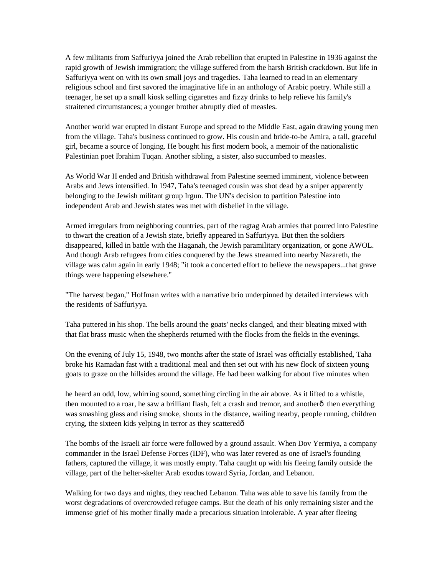A few militants from Saffuriyya joined the Arab rebellion that erupted in Palestine in 1936 against the rapid growth of Jewish immigration; the village suffered from the harsh British crackdown. But life in Saffuriyya went on with its own small joys and tragedies. Taha learned to read in an elementary religious school and first savored the imaginative life in an anthology of Arabic poetry. While still a teenager, he set up a small kiosk selling cigarettes and fizzy drinks to help relieve his family's straitened circumstances; a younger brother abruptly died of measles.

Another world war erupted in distant Europe and spread to the Middle East, again drawing young men from the village. Taha's business continued to grow. His cousin and bride-to-be Amira, a tall, graceful girl, became a source of longing. He bought his first modern book, a memoir of the nationalistic Palestinian poet Ibrahim Tuqan. Another sibling, a sister, also succumbed to measles.

As World War II ended and British withdrawal from Palestine seemed imminent, violence between Arabs and Jews intensified. In 1947, Taha's teenaged cousin was shot dead by a sniper apparently belonging to the Jewish militant group Irgun. The UN's decision to partition Palestine into independent Arab and Jewish states was met with disbelief in the village.

Armed irregulars from neighboring countries, part of the ragtag Arab armies that poured into Palestine to thwart the creation of a Jewish state, briefly appeared in Saffuriyya. But then the soldiers disappeared, killed in battle with the Haganah, the Jewish paramilitary organization, or gone AWOL. And though Arab refugees from cities conquered by the Jews streamed into nearby Nazareth, the village was calm again in early 1948; "it took a concerted effort to believe the newspapers...that grave things were happening elsewhere."

"The harvest began," Hoffman writes with a narrative brio underpinned by detailed interviews with the residents of Saffuriyya.

Taha puttered in his shop. The bells around the goats' necks clanged, and their bleating mixed with that flat brass music when the shepherds returned with the flocks from the fields in the evenings.

On the evening of July 15, 1948, two months after the state of Israel was officially established, Taha broke his Ramadan fast with a traditional meal and then set out with his new flock of sixteen young goats to graze on the hillsides around the village. He had been walking for about five minutes when

he heard an odd, low, whirring sound, something circling in the air above. As it lifted to a whistle, then mounted to a roar, he saw a brilliant flash, felt a crash and tremor, and anotherô then everything was smashing glass and rising smoke, shouts in the distance, wailing nearby, people running, children crying, the sixteen kids yelping in terror as they scattered—

The bombs of the Israeli air force were followed by a ground assault. When Dov Yermiya, a company commander in the Israel Defense Forces (IDF), who was later revered as one of Israel's founding fathers, captured the village, it was mostly empty. Taha caught up with his fleeing family outside the village, part of the helter-skelter Arab exodus toward Syria, Jordan, and Lebanon.

Walking for two days and nights, they reached Lebanon. Taha was able to save his family from the worst degradations of overcrowded refugee camps. But the death of his only remaining sister and the immense grief of his mother finally made a precarious situation intolerable. A year after fleeing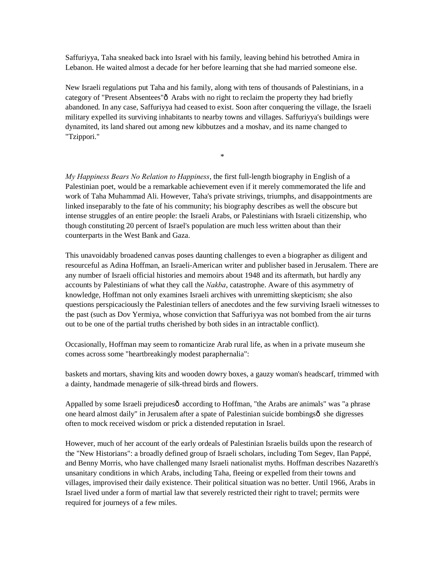Saffuriyya, Taha sneaked back into Israel with his family, leaving behind his betrothed Amira in Lebanon. He waited almost a decade for her before learning that she had married someone else.

New Israeli regulations put Taha and his family, along with tens of thousands of Palestinians, in a category of "Present Absentees" $\delta$  Arabs with no right to reclaim the property they had briefly abandoned. In any case, Saffuriyya had ceased to exist. Soon after conquering the village, the Israeli military expelled its surviving inhabitants to nearby towns and villages. Saffuriyya's buildings were dynamited, its land shared out among new kibbutzes and a moshav, and its name changed to "Tzippori."

\*

*My Happiness Bears No Relation to Happiness*, the first full-length biography in English of a Palestinian poet, would be a remarkable achievement even if it merely commemorated the life and work of Taha Muhammad Ali. However, Taha's private strivings, triumphs, and disappointments are linked inseparably to the fate of his community; his biography describes as well the obscure but intense struggles of an entire people: the Israeli Arabs, or Palestinians with Israeli citizenship, who though constituting 20 percent of Israel's population are much less written about than their counterparts in the West Bank and Gaza.

This unavoidably broadened canvas poses daunting challenges to even a biographer as diligent and resourceful as Adina Hoffman, an Israeli-American writer and publisher based in Jerusalem. There are any number of Israeli official histories and memoirs about 1948 and its aftermath, but hardly any accounts by Palestinians of what they call the *Nakba*, catastrophe. Aware of this asymmetry of knowledge, Hoffman not only examines Israeli archives with unremitting skepticism; she also questions perspicaciously the Palestinian tellers of anecdotes and the few surviving Israeli witnesses to the past (such as Dov Yermiya, whose conviction that Saffuriyya was not bombed from the air turns out to be one of the partial truths cherished by both sides in an intractable conflict).

Occasionally, Hoffman may seem to romanticize Arab rural life, as when in a private museum she comes across some "heartbreakingly modest paraphernalia":

baskets and mortars, shaving kits and wooden dowry boxes, a gauzy woman's headscarf, trimmed with a dainty, handmade menagerie of silk-thread birds and flowers.

Appalled by some Israeli prejudicesô according to Hoffman, "the Arabs are animals" was "a phrase one heard almost daily" in Jerusalem after a spate of Palestinian suicide bombingsô she digresses often to mock received wisdom or prick a distended reputation in Israel.

However, much of her account of the early ordeals of Palestinian Israelis builds upon the research of the "New Historians": a broadly defined group of Israeli scholars, including Tom Segev, Ilan Pappé, and Benny Morris, who have challenged many Israeli nationalist myths. Hoffman describes Nazareth's unsanitary conditions in which Arabs, including Taha, fleeing or expelled from their towns and villages, improvised their daily existence. Their political situation was no better. Until 1966, Arabs in Israel lived under a form of martial law that severely restricted their right to travel; permits were required for journeys of a few miles.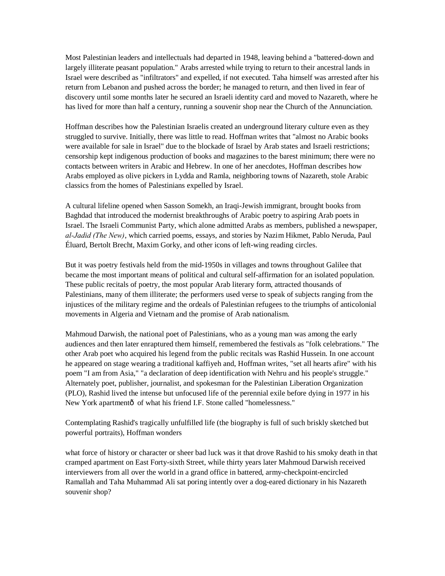Most Palestinian leaders and intellectuals had departed in 1948, leaving behind a "battered-down and largely illiterate peasant population." Arabs arrested while trying to return to their ancestral lands in Israel were described as "infiltrators" and expelled, if not executed. Taha himself was arrested after his return from Lebanon and pushed across the border; he managed to return, and then lived in fear of discovery until some months later he secured an Israeli identity card and moved to Nazareth, where he has lived for more than half a century, running a souvenir shop near the Church of the Annunciation.

Hoffman describes how the Palestinian Israelis created an underground literary culture even as they struggled to survive. Initially, there was little to read. Hoffman writes that "almost no Arabic books were available for sale in Israel" due to the blockade of Israel by Arab states and Israeli restrictions; censorship kept indigenous production of books and magazines to the barest minimum; there were no contacts between writers in Arabic and Hebrew. In one of her anecdotes, Hoffman describes how Arabs employed as olive pickers in Lydda and Ramla, neighboring towns of Nazareth, stole Arabic classics from the homes of Palestinians expelled by Israel.

A cultural lifeline opened when Sasson Somekh, an Iraqi-Jewish immigrant, brought books from Baghdad that introduced the modernist breakthroughs of Arabic poetry to aspiring Arab poets in Israel. The Israeli Communist Party, which alone admitted Arabs as members, published a newspaper, *al-Jadid (The New)*, which carried poems, essays, and stories by Nazim Hikmet, Pablo Neruda, Paul Éluard, Bertolt Brecht, Maxim Gorky, and other icons of left-wing reading circles.

But it was poetry festivals held from the mid-1950s in villages and towns throughout Galilee that became the most important means of political and cultural self-affirmation for an isolated population. These public recitals of poetry, the most popular Arab literary form, attracted thousands of Palestinians, many of them illiterate; the performers used verse to speak of subjects ranging from the injustices of the military regime and the ordeals of Palestinian refugees to the triumphs of anticolonial movements in Algeria and Vietnam and the promise of Arab nationalism.

Mahmoud Darwish, the national poet of Palestinians, who as a young man was among the early audiences and then later enraptured them himself, remembered the festivals as "folk celebrations." The other Arab poet who acquired his legend from the public recitals was Rashid Hussein. In one account he appeared on stage wearing a traditional kaffiyeh and, Hoffman writes, "set all hearts afire" with his poem "I am from Asia," "a declaration of deep identification with Nehru and his people's struggle." Alternately poet, publisher, journalist, and spokesman for the Palestinian Liberation Organization (PLO), Rashid lived the intense but unfocused life of the perennial exile before dying in 1977 in his New York apartmentô of what his friend I.F. Stone called "homelessness."

Contemplating Rashid's tragically unfulfilled life (the biography is full of such briskly sketched but powerful portraits), Hoffman wonders

what force of history or character or sheer bad luck was it that drove Rashid to his smoky death in that cramped apartment on East Forty-sixth Street, while thirty years later Mahmoud Darwish received interviewers from all over the world in a grand office in battered, army-checkpoint-encircled Ramallah and Taha Muhammad Ali sat poring intently over a dog-eared dictionary in his Nazareth souvenir shop?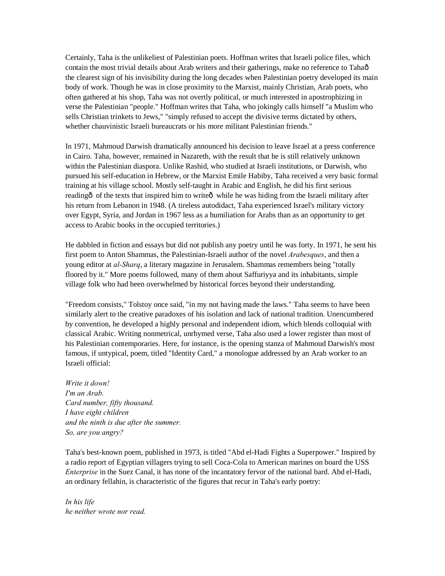Certainly, Taha is the unlikeliest of Palestinian poets. Hoffman writes that Israeli police files, which contain the most trivial details about Arab writers and their gatherings, make no reference to Tahaô the clearest sign of his invisibility during the long decades when Palestinian poetry developed its main body of work. Though he was in close proximity to the Marxist, mainly Christian, Arab poets, who often gathered at his shop, Taha was not overtly political, or much interested in apostrophizing in verse the Palestinian "people." Hoffman writes that Taha, who jokingly calls himself "a Muslim who sells Christian trinkets to Jews," "simply refused to accept the divisive terms dictated by others, whether chauvinistic Israeli bureaucrats or his more militant Palestinian friends."

In 1971, Mahmoud Darwish dramatically announced his decision to leave Israel at a press conference in Cairo. Taha, however, remained in Nazareth, with the result that he is still relatively unknown within the Palestinian diaspora. Unlike Rashid, who studied at Israeli institutions, or Darwish, who pursued his self-education in Hebrew, or the Marxist Emile Habiby, Taha received a very basic formal training at his village school. Mostly self-taught in Arabic and English, he did his first serious reading  $\hat{\sigma}$  of the texts that inspired him to write  $\hat{\sigma}$  while he was hiding from the Israeli military after his return from Lebanon in 1948. (A tireless autodidact, Taha experienced Israel's military victory over Egypt, Syria, and Jordan in 1967 less as a humiliation for Arabs than as an opportunity to get access to Arabic books in the occupied territories.)

He dabbled in fiction and essays but did not publish any poetry until he was forty. In 1971, he sent his first poem to Anton Shammas, the Palestinian-Israeli author of the novel *Arabesques*, and then a young editor at *al-Sharq*, a literary magazine in Jerusalem. Shammas remembers being "totally floored by it." More poems followed, many of them about Saffuriyya and its inhabitants, simple village folk who had been overwhelmed by historical forces beyond their understanding.

"Freedom consists," Tolstoy once said, "in my not having made the laws." Taha seems to have been similarly alert to the creative paradoxes of his isolation and lack of national tradition. Unencumbered by convention, he developed a highly personal and independent idiom, which blends colloquial with classical Arabic. Writing nonmetrical, unrhymed verse, Taha also used a lower register than most of his Palestinian contemporaries. Here, for instance, is the opening stanza of Mahmoud Darwish's most famous, if untypical, poem, titled "Identity Card," a monologue addressed by an Arab worker to an Israeli official:

*Write it down! I'm an Arab. Card number, fifty thousand. I have eight children and the ninth is due after the summer. So, are you angry?*

Taha's best-known poem, published in 1973, is titled "Abd el-Hadi Fights a Superpower." Inspired by a radio report of Egyptian villagers trying to sell Coca-Cola to American marines on board the USS *Enterprise* in the Suez Canal, it has none of the incantatory fervor of the national bard. Abd el-Hadi, an ordinary fellahin, is characteristic of the figures that recur in Taha's early poetry:

*In his life he neither wrote nor read.*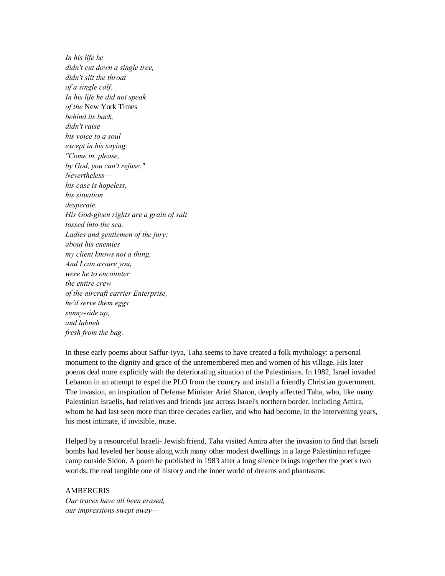*In his life he didn't cut down a single tree, didn't slit the throat of a single calf. In his life he did not speak of the* New York Times *behind its back, didn't raise his voice to a soul except in his saying: "Come in, please, by God, you can't refuse." Nevertheless his case is hopeless, his situation desperate. His God-given rights are a grain of salt tossed into the sea. Ladies and gentlemen of the jury: about his enemies my client knows not a thing. And I can assure you, were he to encounter the entire crew of the aircraft carrier Enterprise, he'd serve them eggs sunny-side up, and labneh fresh from the bag.*

In these early poems about Saffur-iyya, Taha seems to have created a folk mythology: a personal monument to the dignity and grace of the unremembered men and women of his village. His later poems deal more explicitly with the deteriorating situation of the Palestinians. In 1982, Israel invaded Lebanon in an attempt to expel the PLO from the country and install a friendly Christian government. The invasion, an inspiration of Defense Minister Ariel Sharon, deeply affected Taha, who, like many Palestinian Israelis, had relatives and friends just across Israel's northern border, including Amira, whom he had last seen more than three decades earlier, and who had become, in the intervening years, his most intimate, if invisible, muse.

Helped by a resourceful Israeli- Jewish friend, Taha visited Amira after the invasion to find that Israeli bombs had leveled her house along with many other modest dwellings in a large Palestinian refugee camp outside Sidon. A poem he published in 1983 after a long silence brings together the poet's two worlds, the real tangible one of history and the inner world of dreams and phantasms:

## **AMBERGRIS**

*Our traces have all been erased, our impressions swept away—*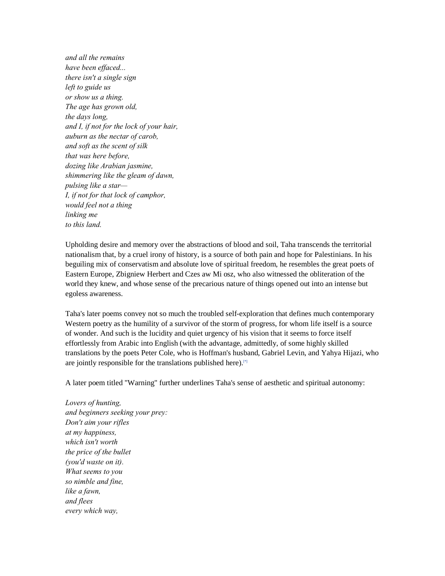*and all the remains have been effaced... there isn't a single sign left to guide us or show us a thing. The age has grown old, the days long, and I, if not for the lock of your hair, auburn as the nectar of carob, and soft as the scent of silk that was here before, dozing like Arabian jasmine, shimmering like the gleam of dawn, pulsing like a star— I, if not for that lock of camphor, would feel not a thing linking me to this land.*

Upholding desire and memory over the abstractions of blood and soil, Taha transcends the territorial nationalism that, by a cruel irony of history, is a source of both pain and hope for Palestinians. In his beguiling mix of conservatism and absolute love of spiritual freedom, he resembles the great poets of Eastern Europe, Zbigniew Herbert and Czes aw Mi osz, who also witnessed the obliteration of the world they knew, and whose sense of the precarious nature of things opened out into an intense but egoless awareness.

Taha's later poems convey not so much the troubled self-exploration that defines much contemporary Western poetry as the humility of a survivor of the storm of progress, for whom life itself is a source of wonder. And such is the lucidity and quiet urgency of his vision that it seems to force itself effortlessly from Arabic into English (with the advantage, admittedly, of some highly skilled translations by the poets Peter Cole, who is Hoffman's husband, Gabriel Levin, and Yahya Hijazi, who are jointly responsible for the translations published here).<sup>[\*]</sup>

A later poem titled "Warning" further underlines Taha's sense of aesthetic and spiritual autonomy:

*Lovers of hunting, and beginners seeking your prey: Don't aim your rifles at my happiness, which isn't worth the price of the bullet (you'd waste on it). What seems to you so nimble and fine, like a fawn, and flees every which way,*